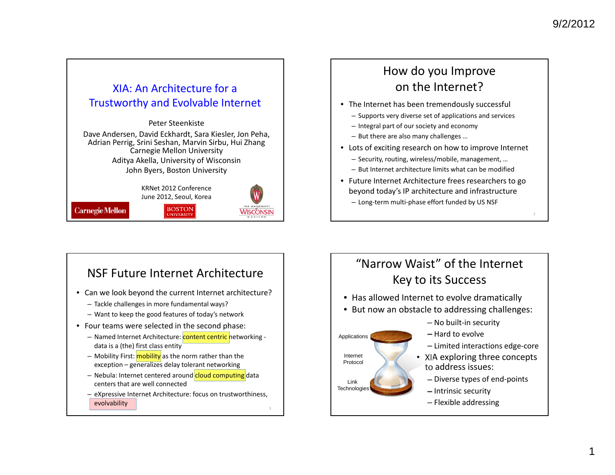### XIA: An Architecture for <sup>a</sup> Trustworthy and Evolvable Internet

Peter SteenkisteDave Andersen, David Eckhardt, Sara Kiesler, Jon Peha, Adrian Perrig, Srini Seshan, Marvin Sirbu, Hui Zhang Carnegie Mellon University Aditya Akella, University of Wisconsin John Byers, Boston University

> KRNet 2012 Conference June 2012, Seoul, Korea

> > **BOSTON**<br>UNIVERSITY

**Carnegie Mellon** 



### How do you Improve on the Internet?

- The Internet has been tremendously successful
	- Supports very diverse set of applications and services
	- Integral part of our society and economy
	- But there are also many challenges …
- Lots of exciting research on how to improve Internet
	- Security, routing, wireless/mobile, management, …
	- But Internet architecture limits what can be modified
- Future Internet Architecture frees researchers to go beyond today's IP architecture and infrastructure
	- Long‐term multi‐phase effort funded by US NSF

## NSF Future Internet Architecture

- Can we look beyond the current Internet architecture?
	- Tackle challenges in more fundamental ways?
	- Want to keep the good features of today's network
- Four teams were selected in the second phase:
	- Named Internet Architecture: <mark>content centric </mark>networking data is <sup>a</sup> (the) first class entity
	- Mobility First: mobility as the norm rather than the exception – generalizes delay tolerant networking
	- Nebula: Internet centered around cloud computing data centers that are well connected
	- eXpressive Internet Architecture: focus on trustworthiness, evolvability

## "Narrow Waist" of the Internet Key to its Success

• Has allowed Internet to evolve dramatically

Applications

InternetProtocol

Link Technologies

- But now an obstacle to addressing challenges:
	- No built‐in security
	- Hard to evolve
	- Limited interactions edge‐core
	- XIA exploring three concepts to address issues:
		- Diverse types of end‐points
		- Intrinsic security
		- Flexible addressing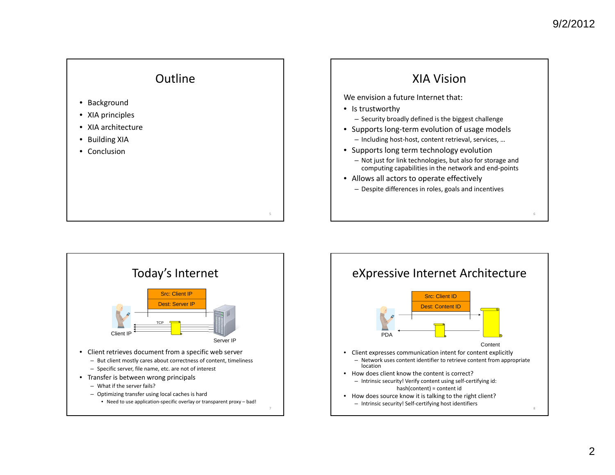

- Background
- XIA principles
- XIA architecture
- Building XIA
- Conclusion





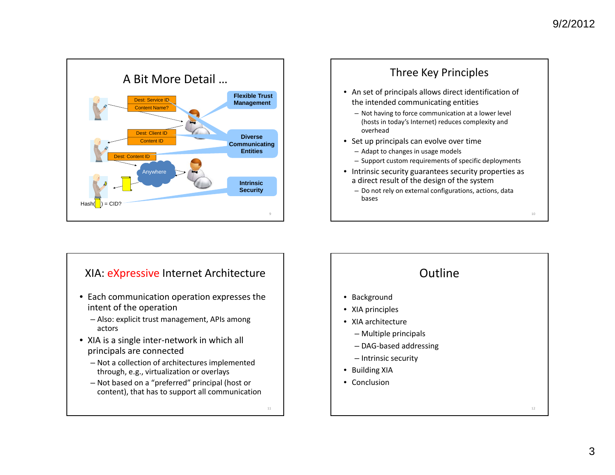



#### XIA: <u>eXpressive</u> Internet Architecture

- Each communication operation expresses the intent of the operation
	- Also: explicit trust management, APIs among actors
- XIA is <sup>a</sup> single inter‐network in which all principals are connected
	- Not <sup>a</sup> collection of architectures implemented through, e.g., virtualization or overlays
	- Not based on <sup>a</sup> "preferred" principal (host or content), that has to support all communication

11

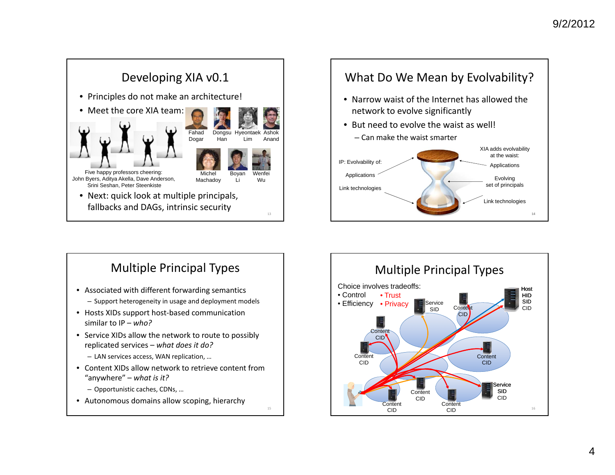

### What Do We Mean by Evolvability?

- Narrow waist of the Internet has allowed the network to evolve significantly
- But need to evolve the waist as well! – Can make the waist smarter



# Multiple Principal Types

- Associated with different forwarding semantics – Support heterogeneity in usage and deployment models
- Hosts XIDs support host‐based communication similar to IP – *who?*
- Service XIDs allow the network to route to possibly replicated services – *what does it do?*
	- LAN services access, WAN replication, …
- Content XIDs allow network to retrieve content from"anywhere" – *what is it?*

15

- Opportunistic caches, CDNs, …
- Autonomous domains allow scoping, hierarchy

Multiple Principal Types 16**Service** SID CIDHost HID SID CIDContent CIDContent CID**Content** CID**Content** CID**Content** CIDContent CIDContentCIDService SIDChoice involves tradeoffs:• Control• Efficiency • Privacy• Trust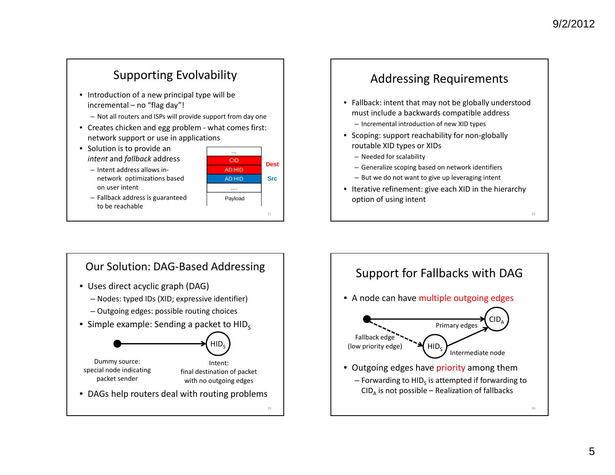## Supporting Evolvability

- Introduction of <sup>a</sup> new principal type will be incremental – no "flag day"!
	- Not all routers and ISPs will provide support from day one
- Creates chicken and egg problem ‐ what comes first: network support or use in applications
- Solution is to provide an *intent* and *fallback* address
	- Intent address allows in‐ network optimizations based on user intent





### Addressing Requirements

- Fallback: intent that may not be globally understood must include <sup>a</sup> backwards compatible address
	- Incremental introduction of new XID types
- Scoping: support reachability for non‐globally routable XID types or XIDs
	- Needed for scalability
	- Generalize scoping based on network identifiers
	- But we do not want to give up leveraging intent
- Iterative refinement: give each XID in the hierarchy option of using intent



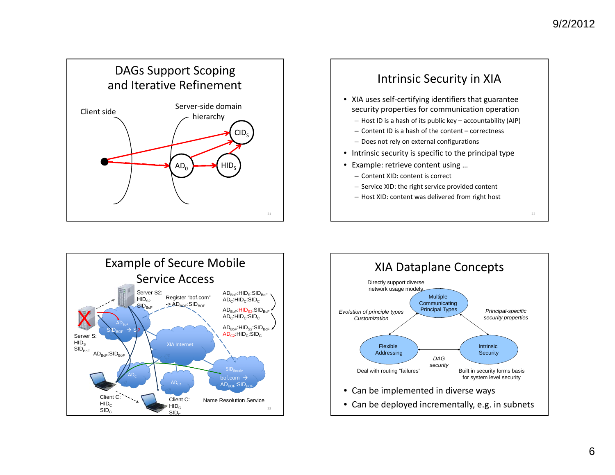





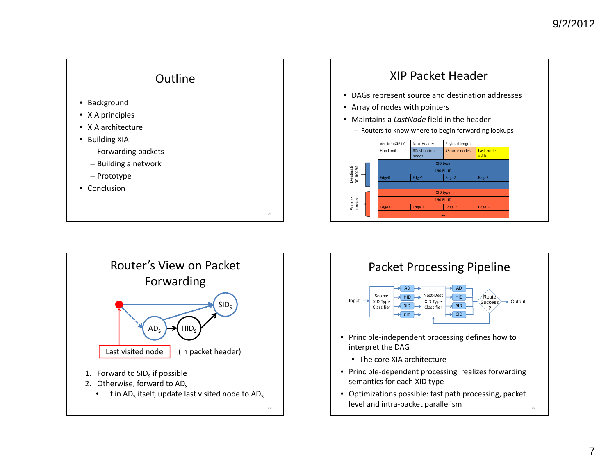





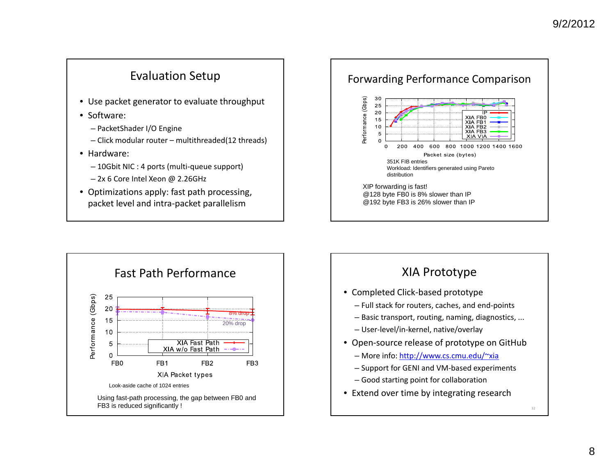### Evaluation Setup

- Use packet generator to evaluate throughput
- Software:
	- PacketShader I/O Engine
	- Click modular router multithreaded(12 threads)
- Hardware:
	- 10Gbit NIC : 4 ports (multi‐queue support)
	- 2x 6 Core Intel Xeon @ 2.26GHz
- Optimizations apply: fast path processing, packet level and intra‐packet parallelism





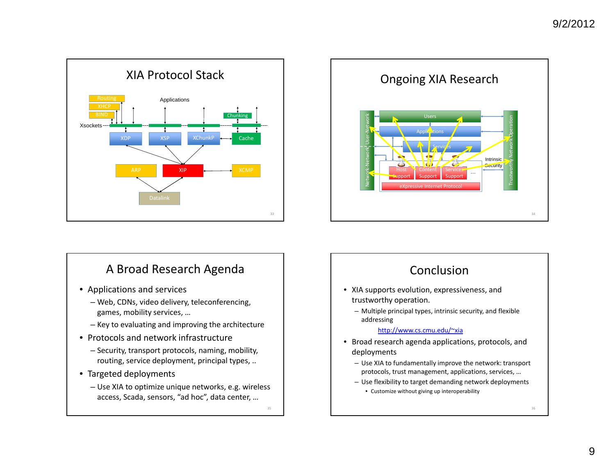

### A Broad Research Agenda

- Applications and services
	- Web, CDNs, video delivery, teleconferencing, games, mobility services, …
	- Key to evaluating and improving the architecture
- Protocols and network infrastructure
	- Security, transport protocols, naming, mobility, routing, service deployment, principal types, ..
- Targeted deployments
	- Use XIA to optimize unique networks, e.g. wireless access, Scada, sensors, "ad hoc", data center, …

35

Network ‐Network User ‐Network Ongoing XIA Research eXpressive Internet Protocol Support ContentSupport ServicesSupport …Applications UsersServic<mark>é</mark>s Intrinsic<mark>Security</mark> Trustworthy Network Operation



36